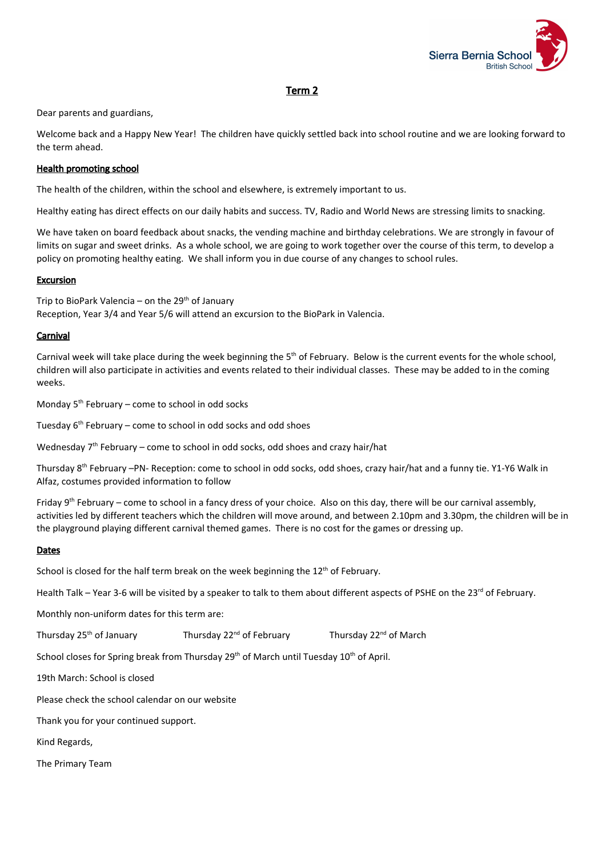

# Term 2

Dear parents and guardians,

Welcome back and a Happy New Year! The children have quickly settled back into school routine and we are looking forward to the term ahead.

# Health promoting school

The health of the children, within the school and elsewhere, is extremely important to us.

Healthy eating has direct effects on our daily habits and success. TV, Radio and World News are stressing limits to snacking.

We have taken on board feedback about snacks, the vending machine and birthday celebrations. We are strongly in favour of limits on sugar and sweet drinks. As a whole school, we are going to work together over the course of this term, to develop a policy on promoting healthy eating. We shall inform you in due course of any changes to school rules.

### Excursion

Trip to BioPark Valencia – on the 29<sup>th</sup> of January Reception, Year 3/4 and Year 5/6 will attend an excursion to the BioPark in Valencia.

### **Carnival**

Carnival week will take place during the week beginning the 5<sup>th</sup> of February. Below is the current events for the whole school, children will also participate in activities and events related to their individual classes. These may be added to in the coming weeks.

Monday 5<sup>th</sup> February – come to school in odd socks

Tuesday 6<sup>th</sup> February – come to school in odd socks and odd shoes

Wednesday 7<sup>th</sup> February – come to school in odd socks, odd shoes and crazy hair/hat

Thursday 8<sup>th</sup> February –PN- Reception: come to school in odd socks, odd shoes, crazy hair/hat and a funny tie. Y1-Y6 Walk in Alfaz, costumes provided information to follow

Friday 9<sup>th</sup> February – come to school in a fancy dress of your choice. Also on this day, there will be our carnival assembly, activities led by different teachers which the children will move around, and between 2.10pm and 3.30pm, the children will be in the playground playing different carnival themed games. There is no cost for the games or dressing up.

#### **Dates**

School is closed for the half term break on the week beginning the 12<sup>th</sup> of February.

Health Talk – Year 3-6 will be visited by a speaker to talk to them about different aspects of PSHE on the 23<sup>rd</sup> of February.

Monthly non-uniform dates for this term are:

Thursday 25<sup>th</sup> of January Thursday 22<sup>nd</sup> of February <sup>nd</sup> of February **Thursday 22<sup>nd</sup> of March** 

School closes for Spring break from Thursday 29<sup>th</sup> of March until Tuesday 10<sup>th</sup> of April.

19th March: School is closed

Please check the school calendar on our website

Thank you for your continued support.

Kind Regards,

The Primary Team